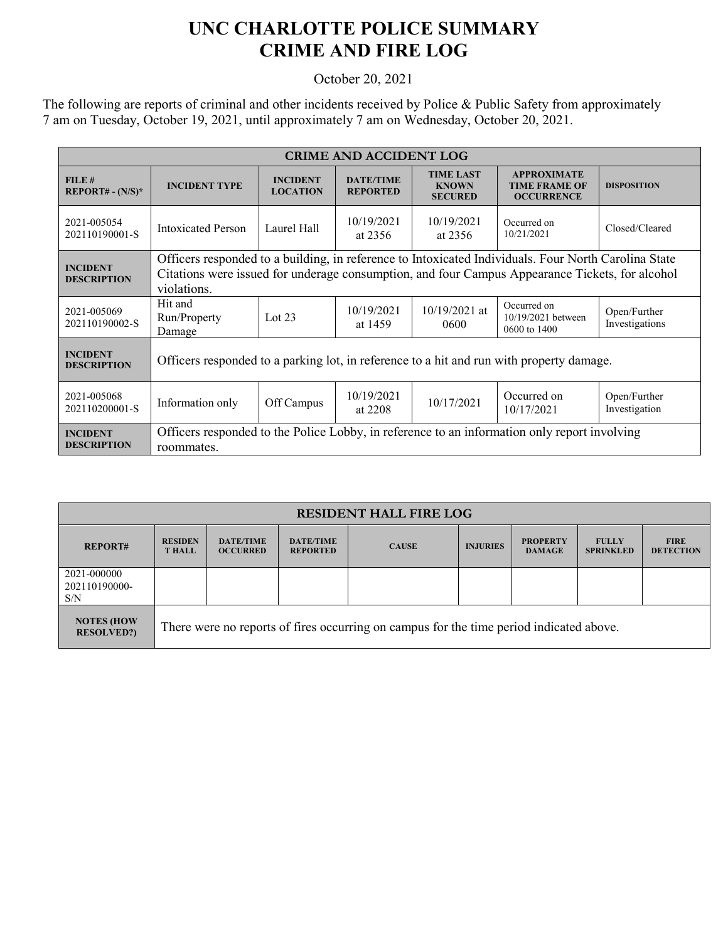## **UNC CHARLOTTE POLICE SUMMARY CRIME AND FIRE LOG**

October 20, 2021

The following are reports of criminal and other incidents received by Police & Public Safety from approximately 7 am on Tuesday, October 19, 2021, until approximately 7 am on Wednesday, October 20, 2021.

| <b>CRIME AND ACCIDENT LOG</b>                  |                                                                                                                                                                                                                        |                                    |                                     |                                                    |                                                                 |                                |  |
|------------------------------------------------|------------------------------------------------------------------------------------------------------------------------------------------------------------------------------------------------------------------------|------------------------------------|-------------------------------------|----------------------------------------------------|-----------------------------------------------------------------|--------------------------------|--|
| FILE#<br><b>REPORT# - <math>(N/S)^*</math></b> | <b>INCIDENT TYPE</b>                                                                                                                                                                                                   | <b>INCIDENT</b><br><b>LOCATION</b> | <b>DATE/TIME</b><br><b>REPORTED</b> | <b>TIME LAST</b><br><b>KNOWN</b><br><b>SECURED</b> | <b>APPROXIMATE</b><br><b>TIME FRAME OF</b><br><b>OCCURRENCE</b> | <b>DISPOSITION</b>             |  |
| 2021-005054<br>202110190001-S                  | <b>Intoxicated Person</b>                                                                                                                                                                                              | Laurel Hall                        | 10/19/2021<br>at 2356               | 10/19/2021<br>at 2356                              | Occurred on<br>10/21/2021                                       | Closed/Cleared                 |  |
| <b>INCIDENT</b><br><b>DESCRIPTION</b>          | Officers responded to a building, in reference to Intoxicated Individuals. Four North Carolina State<br>Citations were issued for underage consumption, and four Campus Appearance Tickets, for alcohol<br>violations. |                                    |                                     |                                                    |                                                                 |                                |  |
| 2021-005069<br>202110190002-S                  | Hit and<br>Run/Property<br>Damage                                                                                                                                                                                      | Lot $23$                           | 10/19/2021<br>at 1459               | $10/19/2021$ at<br>0600                            | Occurred on<br>10/19/2021 between<br>0600 to 1400               | Open/Further<br>Investigations |  |
| <b>INCIDENT</b><br><b>DESCRIPTION</b>          | Officers responded to a parking lot, in reference to a hit and run with property damage.                                                                                                                               |                                    |                                     |                                                    |                                                                 |                                |  |
| 2021-005068<br>202110200001-S                  | Information only                                                                                                                                                                                                       | Off Campus                         | 10/19/2021<br>at 2208               | 10/17/2021                                         | Occurred on<br>10/17/2021                                       | Open/Further<br>Investigation  |  |
| <b>INCIDENT</b><br><b>DESCRIPTION</b>          | Officers responded to the Police Lobby, in reference to an information only report involving<br>roommates.                                                                                                             |                                    |                                     |                                                    |                                                                 |                                |  |

| <b>RESIDENT HALL FIRE LOG</b>           |                                                                                         |                                     |                                     |              |                 |                                  |                                  |                                 |
|-----------------------------------------|-----------------------------------------------------------------------------------------|-------------------------------------|-------------------------------------|--------------|-----------------|----------------------------------|----------------------------------|---------------------------------|
| <b>REPORT#</b>                          | <b>RESIDEN</b><br><b>T HALL</b>                                                         | <b>DATE/TIME</b><br><b>OCCURRED</b> | <b>DATE/TIME</b><br><b>REPORTED</b> | <b>CAUSE</b> | <b>INJURIES</b> | <b>PROPERTY</b><br><b>DAMAGE</b> | <b>FULLY</b><br><b>SPRINKLED</b> | <b>FIRE</b><br><b>DETECTION</b> |
| 2021-000000<br>202110190000-<br>S/N     |                                                                                         |                                     |                                     |              |                 |                                  |                                  |                                 |
| <b>NOTES (HOW)</b><br><b>RESOLVED?)</b> | There were no reports of fires occurring on campus for the time period indicated above. |                                     |                                     |              |                 |                                  |                                  |                                 |